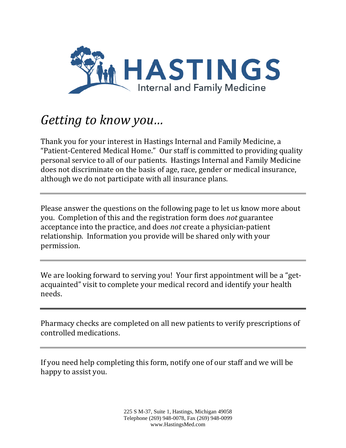

## *Getting to know you…*

Thank you for your interest in Hastings Internal and Family Medicine, a "Patient-Centered Medical Home." Our staff is committed to providing quality personal service to all of our patients. Hastings Internal and Family Medicine does not discriminate on the basis of age, race, gender or medical insurance, although we do not participate with all insurance plans.

Please answer the questions on the following page to let us know more about you. Completion of this and the registration form does *not* guarantee acceptance into the practice, and does *not* create a physician-patient relationship. Information you provide will be shared only with your permission.

We are looking forward to serving you! Your first appointment will be a "getacquainted" visit to complete your medical record and identify your health needs.

Pharmacy checks are completed on all new patients to verify prescriptions of controlled medications.

If you need help completing this form, notify one of our staff and we will be happy to assist you.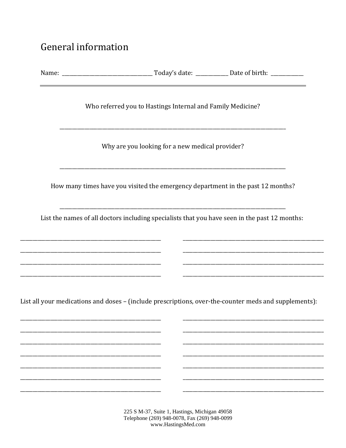## General information

| Who referred you to Hastings Internal and Family Medicine?                                            |  |  |
|-------------------------------------------------------------------------------------------------------|--|--|
| Why are you looking for a new medical provider?                                                       |  |  |
| How many times have you visited the emergency department in the past 12 months?                       |  |  |
| List the names of all doctors including specialists that you have seen in the past 12 months:         |  |  |
|                                                                                                       |  |  |
| List all your medications and doses - (include prescriptions, over-the-counter meds and supplements): |  |  |
|                                                                                                       |  |  |
|                                                                                                       |  |  |
|                                                                                                       |  |  |